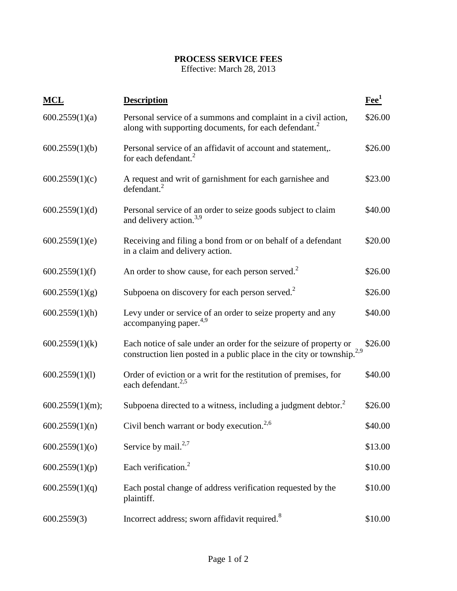## **PROCESS SERVICE FEES**

Effective: March 28, 2013

| <b>MCL</b>      | <b>Description</b>                                                                                                                                      | $\mathbf{F}$ ee <sup>1</sup> |
|-----------------|---------------------------------------------------------------------------------------------------------------------------------------------------------|------------------------------|
| 600.2559(1)(a)  | Personal service of a summons and complaint in a civil action,<br>along with supporting documents, for each defendant. <sup>2</sup>                     | \$26.00                      |
| 600.2559(1)(b)  | Personal service of an affidavit of account and statement,.<br>for each defendant. $^{2}$                                                               | \$26.00                      |
| 600.2559(1)(c)  | A request and writ of garnishment for each garnishee and<br>defendant. <sup>2</sup>                                                                     | \$23.00                      |
| 600.2559(1)(d)  | Personal service of an order to seize goods subject to claim<br>and delivery action. <sup>3,9</sup>                                                     | \$40.00                      |
| 600.2559(1)(e)  | Receiving and filing a bond from or on behalf of a defendant<br>in a claim and delivery action.                                                         | \$20.00                      |
| 600.2559(1)(f)  | An order to show cause, for each person served. <sup>2</sup>                                                                                            | \$26.00                      |
| 600.2559(1)(g)  | Subpoena on discovery for each person served. $2^2$                                                                                                     | \$26.00                      |
| 600.2559(1)(h)  | Levy under or service of an order to seize property and any<br>accompanying paper. $4,9$                                                                | \$40.00                      |
| 600.2559(1)(k)  | Each notice of sale under an order for the seizure of property or<br>construction lien posted in a public place in the city or township. <sup>2,9</sup> | \$26.00                      |
| 600.2559(1)(1)  | Order of eviction or a writ for the restitution of premises, for<br>each defendant. <sup>2,5</sup>                                                      | \$40.00                      |
| 600.2559(1)(m); | Subpoena directed to a witness, including a judgment debtor. <sup>2</sup>                                                                               | \$26.00                      |
| 600.2559(1)(n)  | Civil bench warrant or body execution. <sup>2,6</sup>                                                                                                   | \$40.00                      |
| 600.2559(1)(o)  | Service by mail. $2,7$                                                                                                                                  | \$13.00                      |
| 600.2559(1)(p)  | Each verification. <sup>2</sup>                                                                                                                         | \$10.00                      |
| 600.2559(1)(q)  | Each postal change of address verification requested by the<br>plaintiff.                                                                               | \$10.00                      |
| 600.2559(3)     | Incorrect address; sworn affidavit required. <sup>8</sup>                                                                                               | \$10.00                      |